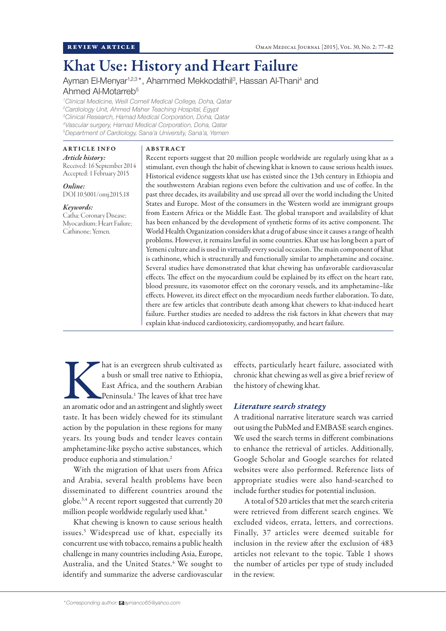# Khat Use: History and Heart Failure

Ayman El-Menyar<sup>1,2,3\*</sup>, Ahammed Mekkodathil<sup>3</sup>, Hassan Al-Thani<sup>4</sup> and Ahmed Al-Motarreb5

 *Clinical Medicine, Weill Cornell Medical College, Doha, Qatar Cardiology Unit, Ahmed Maher Teaching Hospital, Egypt Clinical Research, Hamad Medical Corporation, Doha, Qatar Vascular surgery, Hamad Medical Corporation, Doha, Qatar Department of Cardiology, Sana'a University, Sana'a, Yemen*

#### ARTICLE INFO

ABSTRACT

*Article history:*  Received: 16 September 2014 Accepted: 1 February 2015

*Online:* DOI 10.5001/omj.2015.18

## *Keywords:*

Catha; Coronary Disease; Myocardium; Heart Failure; Cathinone; Yemen.

Recent reports suggest that 20 million people worldwide are regularly using khat as a stimulant, even though the habit of chewing khat is known to cause serious health issues. Historical evidence suggests khat use has existed since the 13th century in Ethiopia and the southwestern Arabian regions even before the cultivation and use of coffee. In the past three decades, its availability and use spread all over the world including the United States and Europe. Most of the consumers in the Western world are immigrant groups from Eastern Africa or the Middle East. The global transport and availability of khat has been enhanced by the development of synthetic forms of its active component. The World Health Organization considers khat a drug of abuse since it causes a range of health problems. However, it remains lawful in some countries. Khat use has long been a part of Yemeni culture and is used in virtually every social occasion. The main component of khat is cathinone, which is structurally and functionally similar to amphetamine and cocaine. Several studies have demonstrated that khat chewing has unfavorable cardiovascular effects. The effect on the myocardium could be explained by its effect on the heart rate, blood pressure, its vasomotor effect on the coronary vessels, and its amphetamine–like effects. However, its direct effect on the myocardium needs further elaboration. To date, there are few articles that contribute death among khat chewers to khat-induced heart failure. Further studies are needed to address the risk factors in khat chewers that may explain khat-induced cardiotoxicity, cardiomyopathy, and heart failure.

hat is an evergreen shrub cultivated as<br>
a bush or small tree native to Ethiopia,<br>
East Africa, and the southern Arabian<br>
Peninsula.<sup>1</sup> The leaves of khat tree have<br>
an aromatic odor and an astringent and slightly sweet a bush or small tree native to Ethiopia, East Africa, and the southern Arabian Peninsula.1 The leaves of khat tree have taste. It has been widely chewed for its stimulant action by the population in these regions for many years. Its young buds and tender leaves contain amphetamine-like psycho active substances, which produce euphoria and stimulation.2

With the migration of khat users from Africa and Arabia, several health problems have been disseminated to different countries around the globe.3,4 A recent report suggested that currently 20 million people worldwide regularly used khat.<sup>4</sup>

Khat chewing is known to cause serious health issues.5 Widespread use of khat, especially its concurrent use with tobacco, remains a public health challenge in many countries including Asia, Europe, Australia, and the United States.<sup>4</sup> We sought to identify and summarize the adverse cardiovascular

effects, particularly heart failure, associated with chronic khat chewing as well as give a brief review of the history of chewing khat.

### *Literature search strategy*

A traditional narrative literature search was carried out using the PubMed and EMBASE search engines. We used the search terms in different combinations to enhance the retrieval of articles. Additionally, Google Scholar and Google searches for related websites were also performed. Reference lists of appropriate studies were also hand-searched to include further studies for potential inclusion.

A total of 520 articles that met the search criteria were retrieved from different search engines. We excluded videos, errata, letters, and corrections. Finally, 37 articles were deemed suitable for inclusion in the review after the exclusion of 483 articles not relevant to the topic. Table 1 shows the number of articles per type of study included in the review.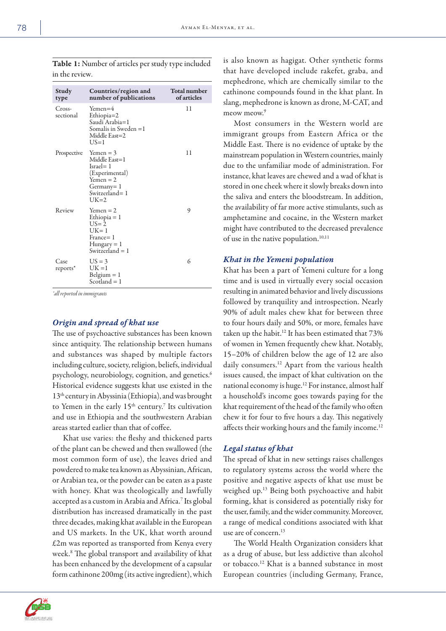| Study<br>type       | Countries/region and<br>number of publications                                                                         | Total number<br>of articles |
|---------------------|------------------------------------------------------------------------------------------------------------------------|-----------------------------|
| Cross-<br>sectional | $Yemen=4$<br>Ethiopia=2<br>Saudi Arabia=1<br>Somalis in Sweden =1<br>Middle East=2<br>US=1                             | 11                          |
| Prospective         | $Yemen = 3$<br>Middle East=1<br>$Israel = 1$<br>(Experimental)<br>$Yemen = 2$<br>Germany= 1<br>Switzerland=1<br>$UK=2$ | 11                          |
| Review              | $Yemen = 2$<br>Ethiopia = 1<br>$U.S = 2$<br>$UK=1$<br>France= 1<br>$Hungary = 1$<br>Switzerland $= 1$                  | 9                           |
| Case<br>reports*    | $US = 3$<br>$UK = 1$<br>$Belgium = 1$<br>Scotland = 1                                                                  | 6                           |

Table 1: Number of articles per study type included in the review.

*\*all reported in immigrants*

## *Origin and spread of khat use*

The use of psychoactive substances has been known since antiquity. The relationship between humans and substances was shaped by multiple factors including culture, society, religion, beliefs, individual psychology, neurobiology, cognition, and genetics.<sup>6</sup> Historical evidence suggests khat use existed in the 13th century in Abyssinia (Ethiopia), and was brought to Yemen in the early  $15<sup>th</sup>$  century.<sup>7</sup> Its cultivation and use in Ethiopia and the southwestern Arabian areas started earlier than that of coffee.

Khat use varies: the fleshy and thickened parts of the plant can be chewed and then swallowed (the most common form of use), the leaves dried and powdered to make tea known as Abyssinian, African, or Arabian tea, or the powder can be eaten as a paste with honey. Khat was theologically and lawfully accepted as a custom in Arabia and Africa.7 Its global distribution has increased dramatically in the past three decades, making khat available in the European and US markets. In the UK, khat worth around £2m was reported as transported from Kenya every week.8 The global transport and availability of khat has been enhanced by the development of a capsular form cathinone 200mg (its active ingredient), which

is also known as hagigat. Other synthetic forms that have developed include rakefet, graba, and mephedrone, which are chemically similar to the cathinone compounds found in the khat plant. In slang, mephedrone is known as drone, M-CAT, and meow meow<sup>9</sup>

Most consumers in the Western world are immigrant groups from Eastern Africa or the Middle East. There is no evidence of uptake by the mainstream population in Western countries, mainly due to the unfamiliar mode of administration. For instance, khat leaves are chewed and a wad of khat is stored in one cheek where it slowly breaks down into the saliva and enters the bloodstream. In addition, the availability of far more active stimulants, such as amphetamine and cocaine, in the Western market might have contributed to the decreased prevalence of use in the native population.<sup>10,11</sup>

#### *Khat in the Yemeni population*

Khat has been a part of Yemeni culture for a long time and is used in virtually every social occasion resulting in animated behavior and lively discussions followed by tranquility and introspection. Nearly 90% of adult males chew khat for between three to four hours daily and 50%, or more, females have taken up the habit.<sup>12</sup> It has been estimated that 73% of women in Yemen frequently chew khat. Notably, 15–20% of children below the age of 12 are also daily consumers.<sup>12</sup> Apart from the various health issues caused, the impact of khat cultivation on the national economy is huge.12 For instance, almost half a household's income goes towards paying for the khat requirement of the head of the family who often chew it for four to five hours a day. This negatively affects their working hours and the family income.<sup>12</sup>

#### *Legal status of khat*

The spread of khat in new settings raises challenges to regulatory systems across the world where the positive and negative aspects of khat use must be weighed up.13 Being both psychoactive and habit forming, khat is considered as potentially risky for the user, family, and the wider community. Moreover, a range of medical conditions associated with khat use are of concern.13

The World Health Organization considers khat as a drug of abuse, but less addictive than alcohol or tobacco.12 Khat is a banned substance in most European countries (including Germany, France,

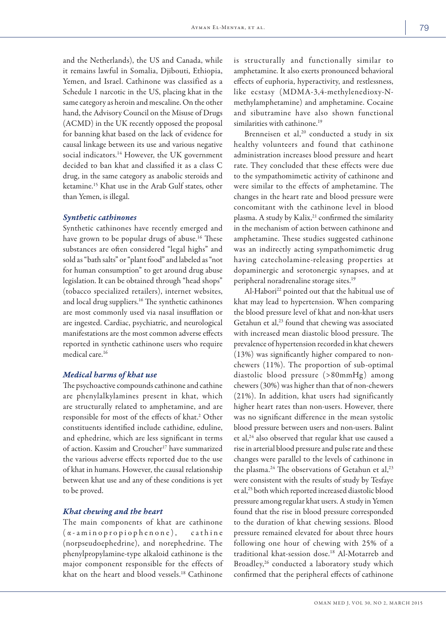and the Netherlands), the US and Canada, while it remains lawful in Somalia, Djibouti, Ethiopia, Yemen, and Israel. Cathinone was classified as a Schedule 1 narcotic in the US, placing khat in the same category as heroin and mescaline. On the other hand, the Advisory Council on the Misuse of Drugs (ACMD) in the UK recently opposed the proposal for banning khat based on the lack of evidence for causal linkage between its use and various negative social indicators.<sup>14</sup> However, the UK government decided to ban khat and classified it as a class C drug, in the same category as anabolic steroids and ketamine.15 Khat use in the Arab Gulf states, other than Yemen, is illegal.

#### *Synthetic cathinones*

Synthetic cathinones have recently emerged and have grown to be popular drugs of abuse.<sup>16</sup> These substances are often considered "legal highs" and sold as "bath salts" or "plant food" and labeled as "not for human consumption" to get around drug abuse legislation. It can be obtained through "head shops" (tobacco specialized retailers), internet websites, and local drug suppliers.16 The synthetic cathinones are most commonly used via nasal insufflation or are ingested. Cardiac, psychiatric, and neurological manifestations are the most common adverse effects reported in synthetic cathinone users who require medical care.16

#### *Medical harms of khat use*

The psychoactive compounds cathinone and cathine are phenylalkylamines present in khat, which are structurally related to amphetamine, and are responsible for most of the effects of khat.<sup>2</sup> Other constituents identified include cathidine, eduline, and ephedrine, which are less significant in terms of action. Kassim and Croucher<sup>17</sup> have summarized the various adverse effects reported due to the use of khat in humans. However, the causal relationship between khat use and any of these conditions is yet to be proved.

#### *Khat chewing and the heart*

The main components of khat are cathinone (α-aminopropiophenone), cathine (norpseudoephedrine), and norephedrine. The phenylpropylamine-type alkaloid cathinone is the major component responsible for the effects of khat on the heart and blood vessels.18 Cathinone

is structurally and functionally similar to amphetamine. It also exerts pronounced behavioral effects of euphoria, hyperactivity, and restlessness, like ecstasy (MDMA-3,4-methylenedioxy-Nmethylamphetamine) and amphetamine. Cocaine and sibutramine have also shown functional similarities with cathinone.<sup>19</sup>

Brenneisen et al, $20$  conducted a study in six healthy volunteers and found that cathinone administration increases blood pressure and heart rate. They concluded that these effects were due to the sympathomimetic activity of cathinone and were similar to the effects of amphetamine. The changes in the heart rate and blood pressure were concomitant with the cathinone level in blood plasma. A study by Kalix,<sup>21</sup> confirmed the similarity in the mechanism of action between cathinone and amphetamine. These studies suggested cathinone was an indirectly acting sympathomimetic drug having catecholamine-releasing properties at dopaminergic and serotonergic synapses, and at peripheral noradrenaline storage sites.19

Al-Habori<sup>22</sup> pointed out that the habitual use of khat may lead to hypertension. When comparing the blood pressure level of khat and non-khat users Getahun et al,<sup>23</sup> found that chewing was associated with increased mean diastolic blood pressure. The prevalence of hypertension recorded in khat chewers (13%) was significantly higher compared to nonchewers (11%). The proportion of sub-optimal diastolic blood pressure (>80mmHg) among chewers (30%) was higher than that of non-chewers (21%). In addition, khat users had significantly higher heart rates than non-users. However, there was no significant difference in the mean systolic blood pressure between users and non-users. Balint et al,<sup>24</sup> also observed that regular khat use caused a rise in arterial blood pressure and pulse rate and these changes were parallel to the levels of cathinone in the plasma.<sup>24</sup> The observations of Getahun et al,<sup>23</sup> were consistent with the results of study by Tesfaye et al,25 both which reported increased diastolic blood pressure among regular khat users. A study in Yemen found that the rise in blood pressure corresponded to the duration of khat chewing sessions. Blood pressure remained elevated for about three hours following one hour of chewing with 25% of a traditional khat-session dose.18 Al-Motarreb and Broadley,<sup>26</sup> conducted a laboratory study which confirmed that the peripheral effects of cathinone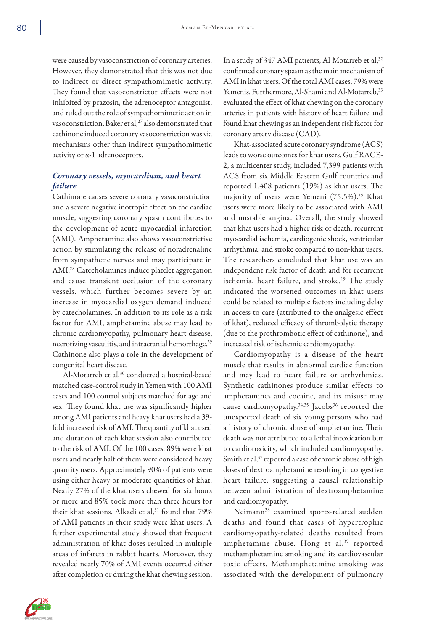were caused by vasoconstriction of coronary arteries. However, they demonstrated that this was not due to indirect or direct sympathomimetic activity. They found that vasoconstrictor effects were not inhibited by prazosin, the adrenoceptor antagonist, and ruled out the role of sympathomimetic action in vasoconstriction. Baker et al,<sup>27</sup> also demonstrated that cathinone induced coronary vasoconstriction was via mechanisms other than indirect sympathomimetic activity or α-1 adrenoceptors.

## *Coronary vessels, myocardium, and heart failure*

Cathinone causes severe coronary vasoconstriction and a severe negative inotropic effect on the cardiac muscle, suggesting coronary spasm contributes to the development of acute myocardial infarction (AMI). Amphetamine also shows vasoconstrictive action by stimulating the release of noradrenaline from sympathetic nerves and may participate in AMI.28 Catecholamines induce platelet aggregation and cause transient occlusion of the coronary vessels, which further becomes severe by an increase in myocardial oxygen demand induced by catecholamines. In addition to its role as a risk factor for AMI, amphetamine abuse may lead to chronic cardiomyopathy, pulmonary heart disease, necrotizing vasculitis, and intracranial hemorrhage.<sup>29</sup> Cathinone also plays a role in the development of congenital heart disease.

Al-Motarreb et al,<sup>30</sup> conducted a hospital-based matched case-control study in Yemen with 100 AMI cases and 100 control subjects matched for age and sex. They found khat use was significantly higher among AMI patients and heavy khat users had a 39 fold increased risk of AMI. The quantity of khat used and duration of each khat session also contributed to the risk of AMI. Of the 100 cases, 89% were khat users and nearly half of them were considered heavy quantity users. Approximately 90% of patients were using either heavy or moderate quantities of khat. Nearly 27% of the khat users chewed for six hours or more and 85% took more than three hours for their khat sessions. Alkadi et al,<sup>31</sup> found that 79% of AMI patients in their study were khat users. A further experimental study showed that frequent administration of khat doses resulted in multiple areas of infarcts in rabbit hearts. Moreover, they revealed nearly 70% of AMI events occurred either after completion or during the khat chewing session. In a study of 347 AMI patients, Al-Motarreb et al,<sup>32</sup> confirmed coronary spasm as the main mechanism of AMI in khat users. Of the total AMI cases, 79% were Yemenis. Furthermore, Al-Shami and Al-Motarreb,<sup>33</sup> evaluated the effect of khat chewing on the coronary arteries in patients with history of heart failure and found khat chewing as an independent risk factor for coronary artery disease (CAD).

Khat-associated acute coronary syndrome (ACS) leads to worse outcomes for khat users. Gulf RACE-2, a multicenter study, included 7,399 patients with ACS from six Middle Eastern Gulf countries and reported 1,408 patients (19%) as khat users. The majority of users were Yemeni (75.5%).<sup>19</sup> Khat users were more likely to be associated with AMI and unstable angina. Overall, the study showed that khat users had a higher risk of death, recurrent myocardial ischemia, cardiogenic shock, ventricular arrhythmia, and stroke compared to non-khat users. The researchers concluded that khat use was an independent risk factor of death and for recurrent ischemia, heart failure, and stroke.<sup>19</sup> The study indicated the worsened outcomes in khat users could be related to multiple factors including delay in access to care (attributed to the analgesic effect of khat), reduced efficacy of thrombolytic therapy (due to the prothrombotic effect of cathinone), and increased risk of ischemic cardiomyopathy.

Cardiomyopathy is a disease of the heart muscle that results in abnormal cardiac function and may lead to heart failure or arrhythmias. Synthetic cathinones produce similar effects to amphetamines and cocaine, and its misuse may cause cardiomyopathy.<sup>34,35</sup> Jacobs<sup>36</sup> reported the unexpected death of six young persons who had a history of chronic abuse of amphetamine. Their death was not attributed to a lethal intoxication but to cardiotoxicity, which included cardiomyopathy. Smith et al,<sup>37</sup> reported a case of chronic abuse of high doses of dextroamphetamine resulting in congestive heart failure, suggesting a causal relationship between administration of dextroamphetamine and cardiomyopathy.

Neimann38 examined sports-related sudden deaths and found that cases of hypertrophic cardiomyopathy-related deaths resulted from amphetamine abuse. Hong et al,<sup>39</sup> reported methamphetamine smoking and its cardiovascular toxic effects. Methamphetamine smoking was associated with the development of pulmonary

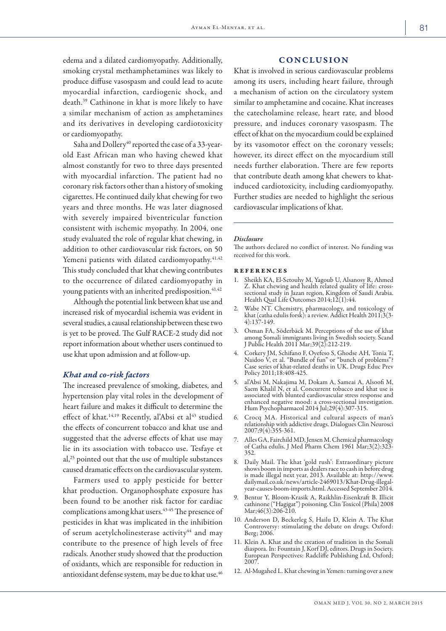edema and a dilated cardiomyopathy. Additionally, smoking crystal methamphetamines was likely to produce diffuse vasospasm and could lead to acute myocardial infarction, cardiogenic shock, and death.39 Cathinone in khat is more likely to have a similar mechanism of action as amphetamines and its derivatives in developing cardiotoxicity or cardiomyopathy.

Saha and Dollery<sup>40</sup> reported the case of a 33-yearold East African man who having chewed khat almost constantly for two to three days presented with myocardial infarction. The patient had no coronary risk factors other than a history of smoking cigarettes. He continued daily khat chewing for two years and three months. He was later diagnosed with severely impaired biventricular function consistent with ischemic myopathy. In 2004, one study evaluated the role of regular khat chewing, in addition to other cardiovascular risk factors, on 50 Yemeni patients with dilated cardiomyopathy.<sup>41,42</sup> This study concluded that khat chewing contributes to the occurrence of dilated cardiomyopathy in young patients with an inherited predisposition.<sup>41,42</sup>

Although the potential link between khat use and increased risk of myocardial ischemia was evident in several studies, a causal relationship between these two is yet to be proved. The Gulf RACE-2 study did not report information about whether users continued to use khat upon admission and at follow-up.

#### *Khat and co-risk factors*

The increased prevalence of smoking, diabetes, and hypertension play vital roles in the development of heart failure and makes it difficult to determine the effect of khat.<sup>14,19</sup> Recently, al'Absi et al<sup>43</sup> studied the effects of concurrent tobacco and khat use and suggested that the adverse effects of khat use may lie in its association with tobacco use. Tesfaye et al,25 pointed out that the use of multiple substances caused dramatic effects on the cardiovascular system.

Farmers used to apply pesticide for better khat production. Organophosphate exposure has been found to be another risk factor for cardiac complications among khat users.<sup>43-45</sup> The presence of pesticides in khat was implicated in the inhibition of serum acetylcholinesterase activity<sup>44</sup> and may contribute to the presence of high levels of free radicals. Another study showed that the production of oxidants, which are responsible for reduction in antioxidant defense system, may be due to khat use.<sup>46</sup>

#### **CONCLUSION**

Khat is involved in serious cardiovascular problems among its users, including heart failure, through a mechanism of action on the circulatory system similar to amphetamine and cocaine. Khat increases the catecholamine release, heart rate, and blood pressure, and induces coronary vasospasm. The effect of khat on the myocardium could be explained by its vasomotor effect on the coronary vessels; however, its direct effect on the myocardium still needs further elaboration. There are few reports that contribute death among khat chewers to khatinduced cardiotoxicity, including cardiomyopathy. Further studies are needed to highlight the serious cardiovascular implications of khat.

#### *Disclosure*

The authors declared no conflict of interest. No funding was received for this work.

#### references

- 1. Sheikh KA, El-Setouhy M, Yagoub U, Alsanosy R, Ahmed Z. Khat chewing and health related quality of life: crosssectional study in Jazan region, Kingdom of Saudi Arabia. Health Qual Life Outcomes 2014;12(1):44.
- 2. Wabe NT. Chemistry, pharmacology, and toxicology of khat (catha edulis forsk): a review. Addict Health 2011;3(3- 4):137-149.
- 3. Osman FA, Söderbäck M. Perceptions of the use of khat among Somali immigrants living in Swedish society. Scand J Public Health 2011 Mar;39(2):212-219.
- 4. Corkery JM, Schifano F, Oyefeso S, Ghodse AH, Tonia T, Naidoo V, et al. "Bundle of fun" or "bunch of problems"? Case series of khat-related deaths in UK. Drugs Educ Prev Policy 2011;18:408-425.
- al'Absi M, Nakajima M, Dokam A, Sameai A, Alsoofi M, Saem Khalil N, et al. Concurrent tobacco and khat use is associated with blunted cardiovascular stress response and enhanced negative mood: a cross-sectional investigation. Hum Psychopharmacol 2014 Jul;29(4):307-315.
- 6. Crocq MA. Historical and cultural aspects of man's relationship with addictive drugs. Dialogues Clin Neurosci 2007;9(4):355-361.
- 7. Alles GA, Fairchild MD, Jensen M. Chemical pharmacology of Catha edulis. J Med Pharm Chem 1961 Mar;3(2):323- 352.
- 8. Daily Mail. The khat 'gold rush': Extraordinary picture shows boom in imports as dealers race to cash in before drug is made illegal next year, 2013. Available at: http://www. dailymail.co.uk/news/article-2469013/Khat-Drug-illegalyear-causes-boom-imports.html. Accessed September 2014.
- 9. Bentur Y, Bloom-Krasik A, Raikhlin-Eisenkraft B. Illicit cathinone ("Hagigat") poisoning. Clin Toxicol (Phila) 2008 Mar;46(3):206-210.
- 10. Anderson D, Beckerleg S, Hailu D, Klein A. The Khat Controversy: stimulating the debate on drugs. Oxford: Berg; 2006.
- 11. Klein A. Khat and the creation of tradition in the Somali diaspora. In: Fountain J, Korf DJ, editors. Drugs in Society. European Perspectives: Radcliffe Publishing Ltd, Oxford; 2007.
- 12. Al-Mugahed L. Khat chewing in Yemen: turning over a new